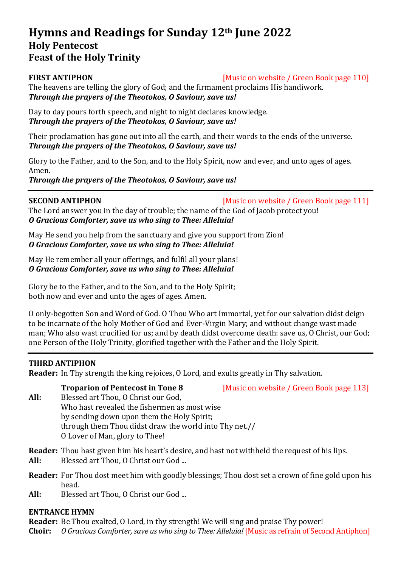# **Hymns and Readings for Sunday 12th June 2022 Holy Pentecost Feast of the Holy Trinity**

**FIRST ANTIPHON** [Music on website / Green Book page 110]

The heavens are telling the glory of God; and the firmament proclaims His handiwork. *Through the prayers of the Theotokos, O Saviour, save us!*

Day to day pours forth speech, and night to night declares knowledge. *Through the prayers of the Theotokos, O Saviour, save us!*

Their proclamation has gone out into all the earth, and their words to the ends of the universe. *Through the prayers of the Theotokos, O Saviour, save us!*

Glory to the Father, and to the Son, and to the Holy Spirit, now and ever, and unto ages of ages. Amen.

*Through the prayers of the Theotokos, O Saviour, save us!*

**SECOND ANTIPHON** [Music on website / Green Book page 111]

The Lord answer you in the day of trouble; the name of the God of Jacob protect you! *O Gracious Comforter, save us who sing to Thee: Alleluia!*

May He send you help from the sanctuary and give you support from Zion! *O Gracious Comforter, save us who sing to Thee: Alleluia!*

May He remember all your offerings, and fulfil all your plans! *O Gracious Comforter, save us who sing to Thee: Alleluia!*

Glory be to the Father, and to the Son, and to the Holy Spirit; both now and ever and unto the ages of ages. Amen.

O only-begotten Son and Word of God. O Thou Who art Immortal, yet for our salvation didst deign to be incarnate of the holy Mother of God and Ever-Virgin Mary; and without change wast made man; Who also wast crucified for us; and by death didst overcome death: save us, O Christ, our God; one Person of the Holy Trinity, glorified together with the Father and the Holy Spirit.

## **THIRD ANTIPHON**

**Reader:** In Thy strength the king rejoices, O Lord, and exults greatly in Thy salvation.

**Troparion of Pentecost in Tone 8** [Music on website / Green Book page 113]

**All:** Blessed art Thou, O Christ our God, Who hast revealed the fishermen as most wise by sending down upon them the Holy Spirit; through them Thou didst draw the world into Thy net.// O Lover of Man, glory to Thee!

**Reader:** Thou hast given him his heart's desire, and hast not withheld the request of his lips.

- **All:** Blessed art Thou, O Christ our God ...
- **Reader:** For Thou dost meet him with goodly blessings; Thou dost set a crown of fine gold upon his head.
- **All:** Blessed art Thou, O Christ our God ...

## **ENTRANCE HYMN**

**Reader:** Be Thou exalted, O Lord, in thy strength! We will sing and praise Thy power! **Choir:** *O Gracious Comforter, save us who sing to Thee: Alleluia!* [Music as refrain of Second Antiphon]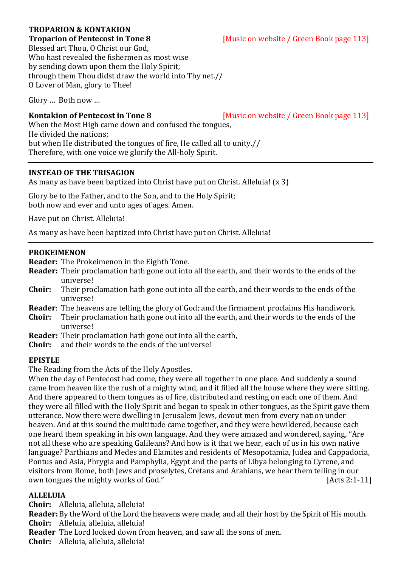# **TROPARION & KONTAKION**

**Troparion of Pentecost in Tone 8** [Music on website / Green Book page 113] Blessed art Thou, O Christ our God, Who hast revealed the fishermen as most wise by sending down upon them the Holy Spirit; through them Thou didst draw the world into Thy net.// O Lover of Man, glory to Thee!

Glory … Both now …

**Kontakion of Pentecost in Tone 8** [Music on website / Green Book page 113]

When the Most High came down and confused the tongues, He divided the nations; but when He distributed the tongues of fire, He called all to unity.// Therefore, with one voice we glorify the All-holy Spirit.

# **INSTEAD OF THE TRISAGION**

As many as have been baptized into Christ have put on Christ. Alleluia! (x 3)

Glory be to the Father, and to the Son, and to the Holy Spirit; both now and ever and unto ages of ages. Amen.

Have put on Christ. Alleluia!

As many as have been baptized into Christ have put on Christ. Alleluia!

### **PROKEIMENON**

- **Reader:** The Prokeimenon in the Eighth Tone.
- **Reader:** Their proclamation hath gone out into all the earth, and their words to the ends of the universe!
- **Choir:** Their proclamation hath gone out into all the earth, and their words to the ends of the universe!
- **Reader**: The heavens are telling the glory of God; and the firmament proclaims His handiwork.
- **Choir:** Their proclamation hath gone out into all the earth, and their words to the ends of the universe!
- **Reader:** Their proclamation hath gone out into all the earth,
- **Choir:** and their words to the ends of the universe!

## **EPISTLE**

The Reading from the Acts of the Holy Apostles.

When the day of Pentecost had come, they were all together in one place. And suddenly a sound came from heaven like the rush of a mighty wind, and it filled all the house where they were sitting. And there appeared to them tongues as of fire, distributed and resting on each one of them. And they were all filled with the Holy Spirit and began to speak in other tongues, as the Spirit gave them utterance. Now there were dwelling in Jerusalem Jews, devout men from every nation under heaven. And at this sound the multitude came together, and they were bewildered, because each one heard them speaking in his own language. And they were amazed and wondered, saying, "Are not all these who are speaking Galileans? And how is it that we hear, each of us in his own native language? Parthians and Medes and Elamites and residents of Mesopotamia, Judea and Cappadocia, Pontus and Asia, Phrygia and Pamphylia, Egypt and the parts of Libya belonging to Cyrene, and visitors from Rome, both Jews and proselytes, Cretans and Arabians, we hear them telling in our own tongues the mighty works of God." [Acts 2:1-11]

## **ALLELUIA**

**Choir:** Alleluia, alleluia, alleluia!

**Reader:** By the Word of the Lord the heavens were made; and all their host by the Spirit of His mouth. **Choir:** Alleluia, alleluia, alleluia!

**Reader** The Lord looked down from heaven, and saw all the sons of men.

**Choir:** Alleluia, alleluia, alleluia!